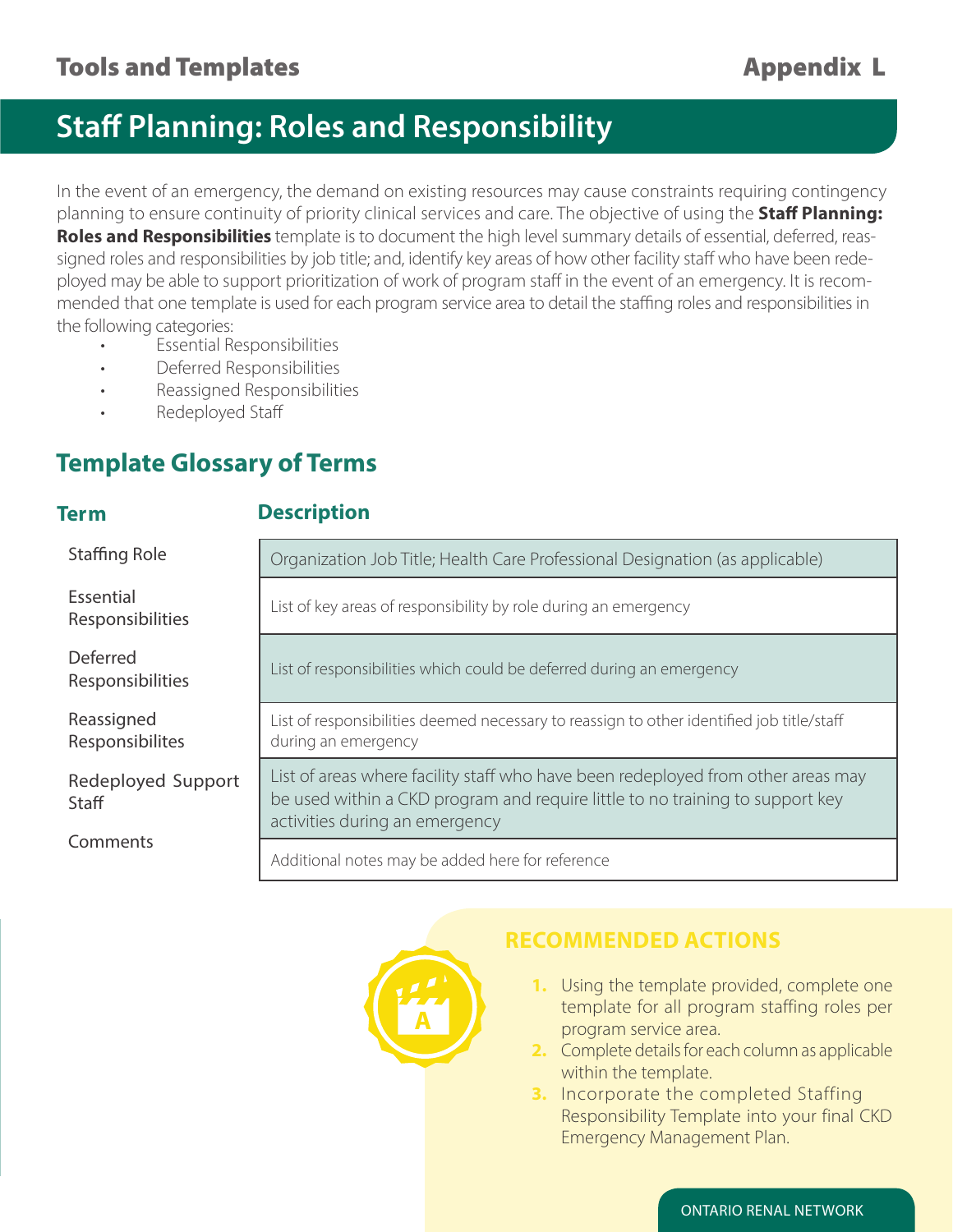## **Staff Planning: Roles and Responsibility**

In the event of an emergency, the demand on existing resources may cause constraints requiring contingency planning to ensure continuity of priority clinical services and care. The objective of using the **Staff Planning: Roles and Responsibilities** template is to document the high level summary details of essential, deferred, reassigned roles and responsibilities by job title; and, identify key areas of how other facility staff who have been redeployed may be able to support prioritization of work of program staff in the event of an emergency. It is recommended that one template is used for each program service area to detail the staffing roles and responsibilities in the following categories:

- Essential Responsibilities
- Deferred Responsibilities
- Reassigned Responsibilities
- Redeployed Staff

## **Template Glossary of Terms**

### **Term Description**

| Staffing Role                       | Organization Job Title; Health Care Professional Designation (as applicable)                                                                                                                        |  |  |  |  |  |
|-------------------------------------|-----------------------------------------------------------------------------------------------------------------------------------------------------------------------------------------------------|--|--|--|--|--|
| Essential<br>Responsibilities       | List of key areas of responsibility by role during an emergency                                                                                                                                     |  |  |  |  |  |
| <b>Deferred</b><br>Responsibilities | List of responsibilities which could be deferred during an emergency                                                                                                                                |  |  |  |  |  |
| Reassigned<br>Responsibilites       | List of responsibilities deemed necessary to reassign to other identified job title/staff<br>during an emergency                                                                                    |  |  |  |  |  |
| Redeployed Support<br>Staff         | List of areas where facility staff who have been redeployed from other areas may<br>be used within a CKD program and require little to no training to support key<br>activities during an emergency |  |  |  |  |  |
| Comments                            | Additional notes may be added here for reference                                                                                                                                                    |  |  |  |  |  |



## **RECOMMENDED ACTIONS**

- **1.** Using the template provided, complete one template for all program staffing roles per program service area.
- **2.** Complete details for each column as applicable within the template.
- **3.** Incorporate the completed Staffing Responsibility Template into your final CKD Emergency Management Plan.

ONTARIO RENAL NETWORK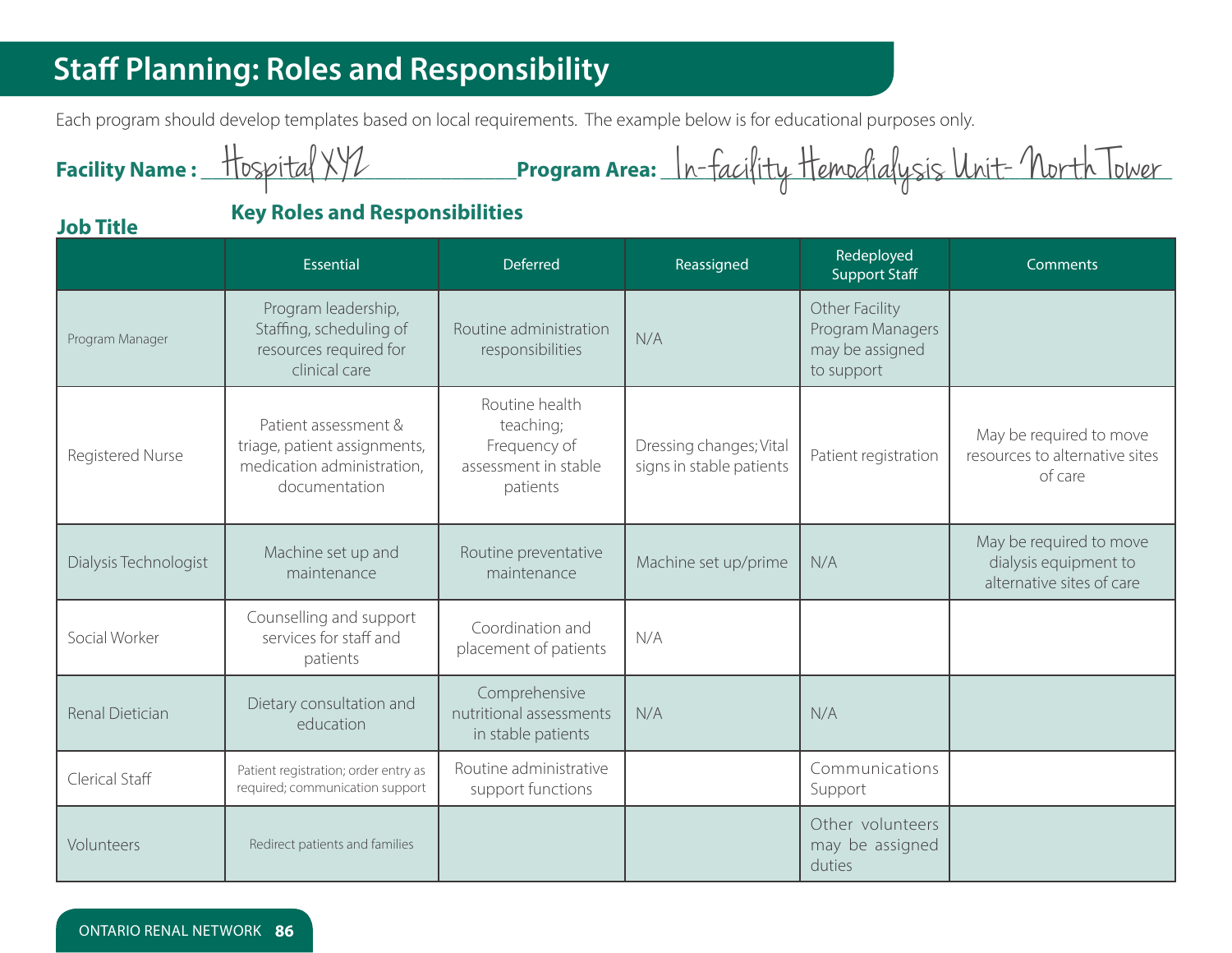# **Staff Planning: Roles and Responsibility**

Each program should develop templates based on local requirements. The example below is for educational purposes only.

| Facility Name: Hospital                                   |                                                                                                     |                                                                                 |                                                     |                                                                     | Program Area: <u>In-facility Hemodialysis Unit- North Tower</u>               |  |  |
|-----------------------------------------------------------|-----------------------------------------------------------------------------------------------------|---------------------------------------------------------------------------------|-----------------------------------------------------|---------------------------------------------------------------------|-------------------------------------------------------------------------------|--|--|
| <b>Key Roles and Responsibilities</b><br><b>Job Title</b> |                                                                                                     |                                                                                 |                                                     |                                                                     |                                                                               |  |  |
|                                                           | <b>Essential</b>                                                                                    | Deferred                                                                        | Reassigned                                          | Redeployed<br><b>Support Staff</b>                                  | Comments                                                                      |  |  |
| Program Manager                                           | Program leadership,<br>Staffing, scheduling of<br>resources required for<br>clinical care           | Routine administration<br>responsibilities                                      | N/A                                                 | Other Facility<br>Program Managers<br>may be assigned<br>to support |                                                                               |  |  |
| Registered Nurse                                          | Patient assessment &<br>triage, patient assignments,<br>medication administration,<br>documentation | Routine health<br>teaching;<br>Frequency of<br>assessment in stable<br>patients | Dressing changes; Vital<br>signs in stable patients | Patient registration                                                | May be required to move<br>resources to alternative sites<br>of care          |  |  |
| Dialysis Technologist                                     | Machine set up and<br>maintenance                                                                   | Routine preventative<br>maintenance                                             | Machine set up/prime                                | N/A                                                                 | May be required to move<br>dialysis equipment to<br>alternative sites of care |  |  |
| Social Worker                                             | Counselling and support<br>services for staff and<br>patients                                       | Coordination and<br>placement of patients                                       | N/A                                                 |                                                                     |                                                                               |  |  |
| Renal Dietician                                           | Dietary consultation and<br>education                                                               | Comprehensive<br>nutritional assessments<br>in stable patients                  | N/A                                                 | N/A                                                                 |                                                                               |  |  |
| Clerical Staff                                            | Patient registration; order entry as<br>required; communication support                             | Routine administrative<br>support functions                                     |                                                     | Communications<br>Support                                           |                                                                               |  |  |
| Volunteers                                                | Redirect patients and families                                                                      |                                                                                 |                                                     | Other volunteers<br>may be assigned<br>duties                       |                                                                               |  |  |